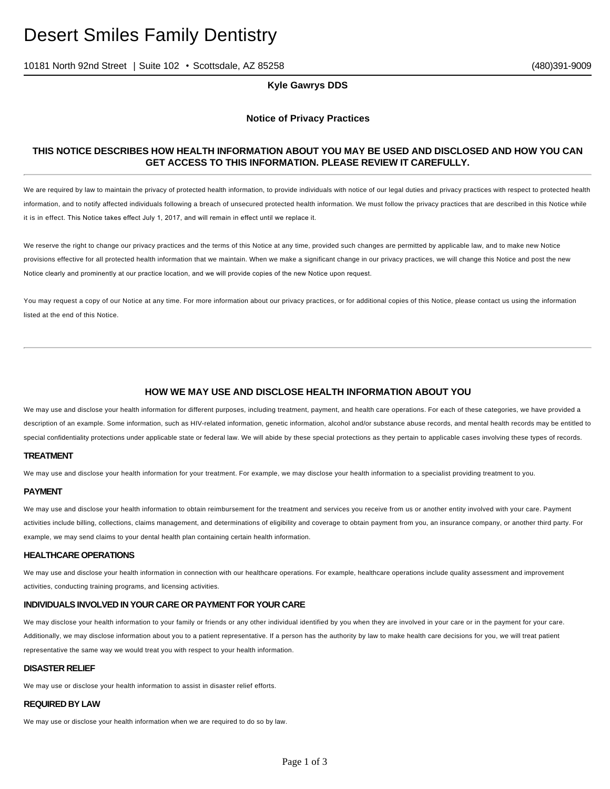# Desert Smiles Family Dentistry

10181 North 92nd Street | Suite 102 • Scottsdale, AZ 85258 (480)391-9009

**Kyle Gawrys DDS**

## **Notice of Privacy Practices**

# **THIS NOTICE DESCRIBES HOW HEALTH INFORMATION ABOUT YOU MAY BE USED AND DISCLOSED AND HOW YOU CAN GET ACCESS TO THIS INFORMATION. PLEASE REVIEW IT CAREFULLY.**

We are required by law to maintain the privacy of protected health information, to provide individuals with notice of our legal duties and privacy practices with respect to protected health information, and to notify affected individuals following a breach of unsecured protected health information. We must follow the privacy practices that are described in this Notice while it is in effect. This Notice takes effect July 1, 2017, and will remain in effect until we replace it.

We reserve the right to change our privacy practices and the terms of this Notice at any time, provided such changes are permitted by applicable law, and to make new Notice provisions effective for all protected health information that we maintain. When we make a significant change in our privacy practices, we will change this Notice and post the new Notice clearly and prominently at our practice location, and we will provide copies of the new Notice upon request.

You may request a copy of our Notice at any time. For more information about our privacy practices, or for additional copies of this Notice, please contact us using the information listed at the end of this Notice.

# **HOW WE MAY USE AND DISCLOSE HEALTH INFORMATION ABOUT YOU**

We may use and disclose your health information for different purposes, including treatment, payment, and health care operations. For each of these categories, we have provided a description of an example. Some information, such as HIV-related information, genetic information, alcohol and/or substance abuse records, and mental health records may be entitled to special confidentiality protections under applicable state or federal law. We will abide by these special protections as they pertain to applicable cases involving these types of records.

## **TREATMENT**

We may use and disclose your health information for your treatment. For example, we may disclose your health information to a specialist providing treatment to you.

## **PAYMENT**

We may use and disclose your health information to obtain reimbursement for the treatment and services you receive from us or another entity involved with your care. Payment activities include billing, collections, claims management, and determinations of eligibility and coverage to obtain payment from you, an insurance company, or another third party. For example, we may send claims to your dental health plan containing certain health information.

## **HEALTHCARE OPERATIONS**

We may use and disclose your health information in connection with our healthcare operations. For example, healthcare operations include quality assessment and improvement activities, conducting training programs, and licensing activities.

## **INDIVIDUALS INVOLVED IN YOUR CARE OR PAYMENT FOR YOUR CARE**

We may disclose your health information to your family or friends or any other individual identified by you when they are involved in your care or in the payment for your care. Additionally, we may disclose information about you to a patient representative. If a person has the authority by law to make health care decisions for you, we will treat patient representative the same way we would treat you with respect to your health information.

#### **DISASTER RELIEF**

We may use or disclose your health information to assist in disaster relief efforts.

#### **REQUIRED BY LAW**

We may use or disclose your health information when we are required to do so by law.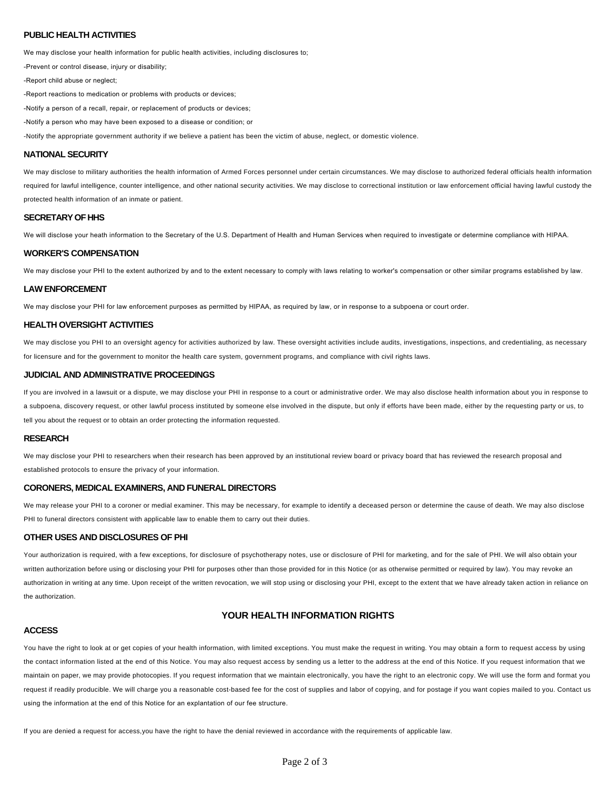# **PUBLIC HEALTH ACTIVITIES**

We may disclose your health information for public health activities, including disclosures to;

-Prevent or control disease, injury or disability;

-Report child abuse or neglect;

-Report reactions to medication or problems with products or devices;

-Notify a person of a recall, repair, or replacement of products or devices;

-Notify a person who may have been exposed to a disease or condition; or

-Notify the appropriate government authority if we believe a patient has been the victim of abuse, neglect, or domestic violence.

#### **NATIONAL SECURITY**

We may disclose to military authorities the health information of Armed Forces personnel under certain circumstances. We may disclose to authorized federal officials health information required for lawful intelligence, counter intelligence, and other national security activities. We may disclose to correctional institution or law enforcement official having lawful custody the protected health information of an inmate or patient.

## **SECRETARY OF HHS**

We will disclose your heath information to the Secretary of the U.S. Department of Health and Human Services when required to investigate or determine compliance with HIPAA.

#### **WORKER'S COMPENSATION**

We may disclose your PHI to the extent authorized by and to the extent necessary to comply with laws relating to worker's compensation or other similar programs established by law.

## **LAW ENFORCEMENT**

We may disclose your PHI for law enforcement purposes as permitted by HIPAA, as required by law, or in response to a subpoena or court order.

## **HEALTH OVERSIGHT ACTIVITIES**

We may disclose you PHI to an oversight agency for activities authorized by law. These oversight activities include audits, investigations, inspections, and credentialing, as necessary for licensure and for the government to monitor the health care system, government programs, and compliance with civil rights laws.

#### **JUDICIAL AND ADMINISTRATIVE PROCEEDINGS**

If you are involved in a lawsuit or a dispute, we may disclose your PHI in response to a court or administrative order. We may also disclose health information about you in response to a subpoena, discovery request, or other lawful process instituted by someone else involved in the dispute, but only if efforts have been made, either by the requesting party or us, to tell you about the request or to obtain an order protecting the information requested.

#### **RESEARCH**

We may disclose your PHI to researchers when their research has been approved by an institutional review board or privacy board that has reviewed the research proposal and established protocols to ensure the privacy of your information.

#### **CORONERS, MEDICAL EXAMINERS, AND FUNERAL DIRECTORS**

We may release your PHI to a coroner or medial examiner. This may be necessary, for example to identify a deceased person or determine the cause of death. We may also disclose PHI to funeral directors consistent with applicable law to enable them to carry out their duties.

## **OTHER USES AND DISCLOSURES OF PHI**

Your authorization is required, with a few exceptions, for disclosure of psychotherapy notes, use or disclosure of PHI for marketing, and for the sale of PHI. We will also obtain your written authorization before using or disclosing your PHI for purposes other than those provided for in this Notice (or as otherwise permitted or required by law). You may revoke an authorization in writing at any time. Upon receipt of the written revocation, we will stop using or disclosing your PHI, except to the extent that we have already taken action in reliance on the authorization.

# **YOUR HEALTH INFORMATION RIGHTS**

## **ACCESS**

You have the right to look at or get copies of your health information, with limited exceptions. You must make the request in writing. You may obtain a form to request access by using the contact information listed at the end of this Notice. You may also request access by sending us a letter to the address at the end of this Notice. If you request information that we maintain on paper, we may provide photocopies. If you request information that we maintain electronically, you have the right to an electronic copy. We will use the form and format you request if readily producible. We will charge you a reasonable cost-based fee for the cost of supplies and labor of copying, and for postage if you want copies mailed to you. Contact us using the information at the end of this Notice for an explantation of our fee structure.

If you are denied a request for access,you have the right to have the denial reviewed in accordance with the requirements of applicable law.